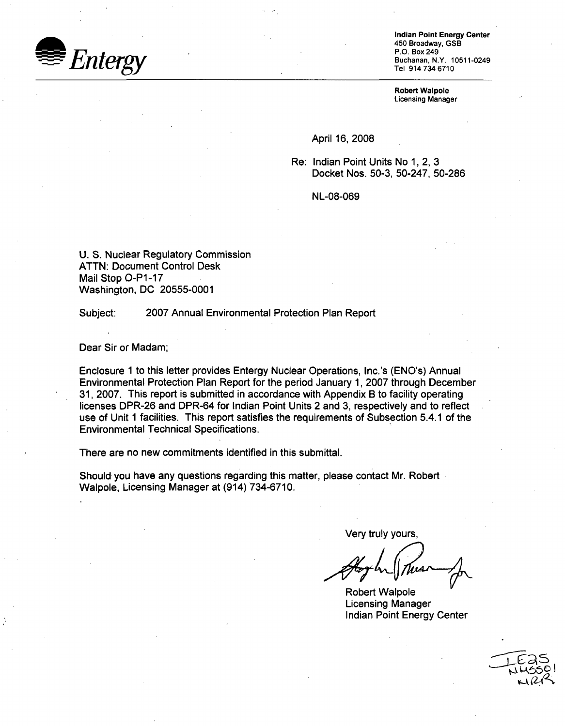

Indian Point Energy Center 450 Broadway, **GSB** Tel 914 734 **6710**

Robert Walpole Licensing Manager

April 16, 2008

Re: Indian Point Units No 1, 2, 3 Docket Nos. 50-3, 50-247, 50-286

NL-08-069

U. S. Nuclear Regulatory Commission ATTN: Document Control Desk Mail Stop O-P1-17 Washington, DC 20555-0001

#### Subject: 2007 Annual Environmental Protection Plan Report

Dear Sir or Madam;

Enclosure 1 to this letter provides Entergy Nuclear Operations, Inc.'s (ENO's) Annual Environmental Protection Plan Report for the period January 1, 2007 through December 31, 2007. This report is submitted in accordance with Appendix B to facility operating licenses DPR-26 and DPR-64 for Indian Point Units 2 and 3, respectively and to reflect use of Unit 1 facilities. This report satisfies the requirements of Subsection 5.4.1 of the Environmental Technical Specifications.

There are no new commitments identified in this submittal.

Should you have any questions regarding this matter, please contact Mr. Robert Walpole, Licensing Manager at (914) 734-6710.

Very truly yours,

Robert Walpole Licensing Manager Indian Point Energy Center

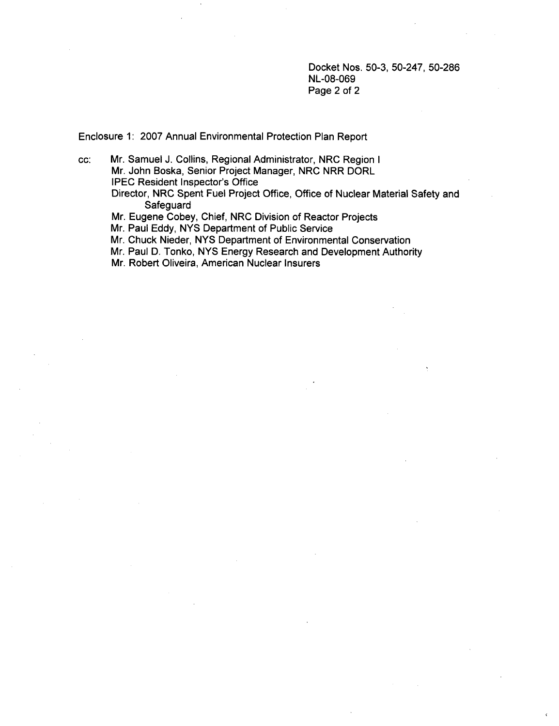Docket Nos. 50-3, 50-247, 50-286 NL-08-069 Page 2 of 2

Enclosure 1: 2007 Annual Environmental Protection Plan Report

cc: Mr. Samuel J. Collins, Regional Administrator, NRC Region I Mr. John Boska, Senior Project Manager, NRC NRR DORL IPEC Resident Inspector's Office Director, NRC Spent Fuel Project Office, Office of Nuclear Material Safety and Safeguard

Mr. Eugene Cobey, Chief, NRC Division of Reactor Projects

Mr. Paul Eddy, NYS Department of Public Service

Mr. Chuck Nieder, NYS Department of Environmental Conservation

Mr. Paul D. Tonko, NYS Energy Research and Development Authority

Mr. Robert Oliveira, American Nuclear Insurers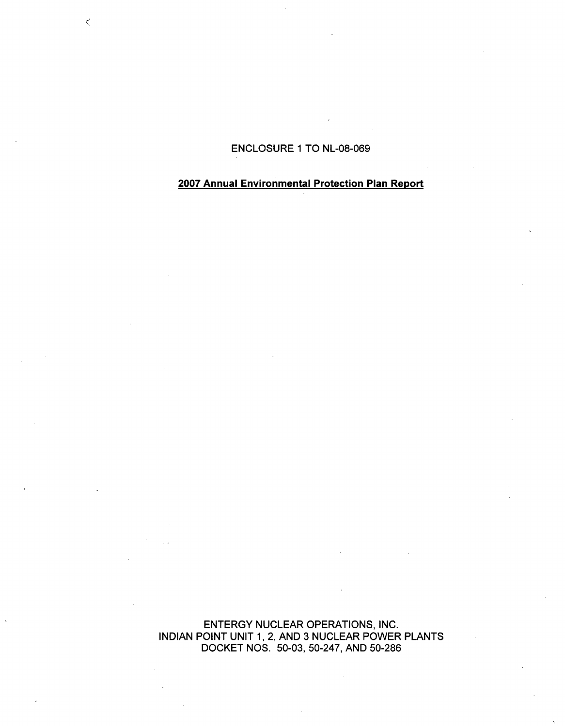# ENCLOSURE **1** TO NL-08-069

 $\prec$ 

# **2007** Annual Environmental Protection Plan **Report**

ENTERGY NUCLEAR OPERATIONS, INC. INDIAN POINT UNIT 1, 2, AND 3 NUCLEAR POWER PLANTS DOCKET NOS. 50-03, 50-247, AND 50-286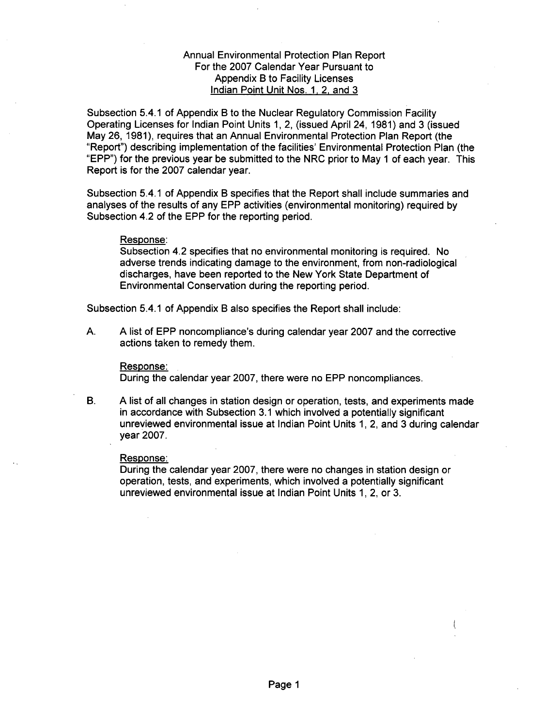## Annual Environmental Protection Plan Report For the **2007** Calendar Year Pursuant to Appendix B to Facility Licenses Indian Point Unit Nos. **1,** 2, and **3**

Subsection 5.4.1 of Appendix B to the Nuclear Regulatory Commission Facility Operating Licenses for Indian Point Units **1,** 2, (issued April 24, **1981)** and **3** (issued May **26, 1981),** requires that an Annual Environmental Protection Plan Report (the "Report") describing implementation of the facilities' Environmental Protection Plan (the "EPP") for the previous year be submitted to the NRC prior to May **1** of each year. This Report is for the **2007** calendar year.

Subsection 5.4.1 of Appendix B specifies that the Report shall include summaries and analyses of the results of any EPP activities (environmental monitoring) required **by** Subsection 4.2 of the EPP for the reporting period.

#### Response:

Subsection 4.2 specifies that no environmental monitoring is required. No adverse trends indicating damage to the environment, from non-radiological discharges, have been reported to the New York State Department of Environmental Conservation during the reporting period.

Subsection 5.4.1 of Appendix B also specifies the Report shall include:

**A. A** list of EPP noncompliance's during calendar year **2007** and the corrective actions taken to remedy them.

#### Response:

During the calendar year **2007,** there were no EPP noncompliances.

B. **A** list of all changes in station design or operation, tests, and experiments made in accordance with Subsection **3.1** which involved a potentially significant unreviewed environmental issue at Indian Point Units **1,** 2, and **3** during calendar year **2007.**

## Response:

During the calendar year **2007,** there were no changes in station design or operation, tests, and experiments, which involved a potentially significant unreviewed environmental issue at Indian Point Units **1,** 2, or **3.**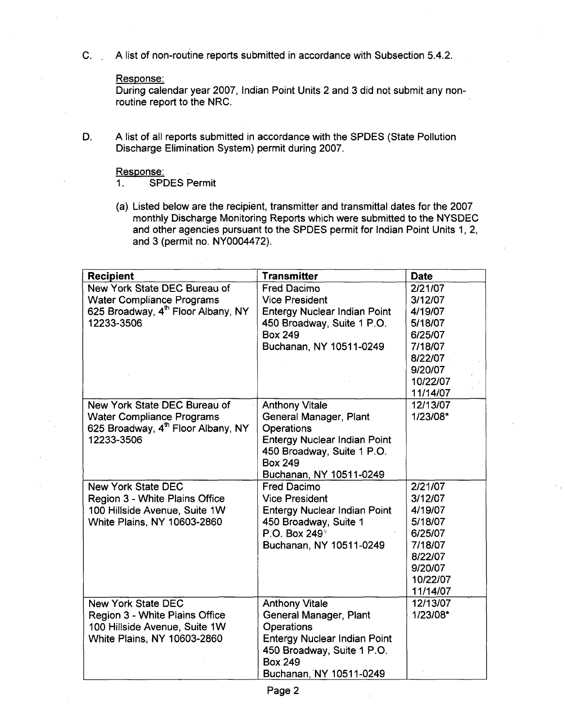C. A list of non-routine reports submitted in accordance with Subsection 5.4.2.

### Response:

During calendar year 2007, Indian Point Units 2 and 3 did not submit any nonroutine report to the NRC.

D. A list of all reports submitted in accordance with the SPDES (State Pollution Discharge Elimination System) permit during 2007.

# Response:<br>1. SPI

SPDES Permit

(a) Listed below are the recipient, transmitter and transmittal dates for the 2007 monthly Discharge Monitoring Reports which were submitted to the NYSDEC and other agencies pursuant to the SPDES permit for Indian Point Units 1, 2, and 3 (permit no. NY0004472).

| <b>Recipient</b>                               | <b>Transmitter</b>                  | <b>Date</b> |
|------------------------------------------------|-------------------------------------|-------------|
| New York State DEC Bureau of                   | <b>Fred Dacimo</b>                  | 2/21/07     |
| <b>Water Compliance Programs</b>               | <b>Vice President</b>               | 3/12/07     |
| 625 Broadway, 4 <sup>th</sup> Floor Albany, NY | <b>Entergy Nuclear Indian Point</b> | 4/19/07     |
| 12233-3506                                     | 450 Broadway, Suite 1 P.O.          | 5/18/07     |
|                                                | <b>Box 249</b>                      | 6/25/07     |
|                                                | Buchanan, NY 10511-0249             | 7/18/07     |
|                                                |                                     | 8/22/07     |
|                                                |                                     | 9/20/07     |
|                                                |                                     | 10/22/07    |
|                                                |                                     | 11/14/07    |
| New York State DEC Bureau of                   | <b>Anthony Vitale</b>               | 12/13/07    |
| <b>Water Compliance Programs</b>               | General Manager, Plant              | 1/23/08*    |
| 625 Broadway, 4 <sup>th</sup> Floor Albany, NY | Operations                          |             |
| 12233-3506                                     | <b>Entergy Nuclear Indian Point</b> |             |
|                                                | 450 Broadway, Suite 1 P.O.          |             |
|                                                | <b>Box 249</b>                      |             |
|                                                | Buchanan, NY 10511-0249             |             |
| <b>New York State DEC</b>                      | <b>Fred Dacimo</b>                  | 2/21/07     |
| Region 3 - White Plains Office                 | <b>Vice President</b>               | 3/12/07     |
| 100 Hillside Avenue, Suite 1W                  | <b>Entergy Nuclear Indian Point</b> | 4/19/07     |
| White Plains, NY 10603-2860                    | 450 Broadway, Suite 1               | 5/18/07     |
|                                                | P.O. Box 249*                       | 6/25/07     |
|                                                | Buchanan, NY 10511-0249             | 7/18/07     |
|                                                |                                     | 8/22/07     |
|                                                |                                     | 9/20/07     |
|                                                |                                     | 10/22/07    |
|                                                |                                     | 11/14/07    |
| <b>New York State DEC</b>                      | <b>Anthony Vitale</b>               | 12/13/07    |
| Region 3 - White Plains Office                 | General Manager, Plant              | 1/23/08*    |
| 100 Hillside Avenue, Suite 1W                  | Operations                          |             |
| White Plains, NY 10603-2860                    | <b>Entergy Nuclear Indian Point</b> |             |
|                                                | 450 Broadway, Suite 1 P.O.          |             |
|                                                | <b>Box 249</b>                      |             |
|                                                | Buchanan, NY 10511-0249             |             |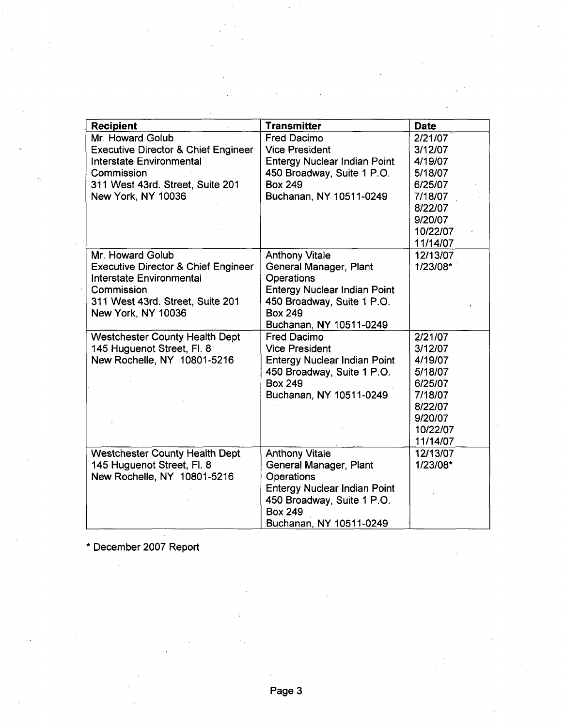| <b>Recipient</b>                               | <b>Transmitter</b>                           | <b>Date</b>        |
|------------------------------------------------|----------------------------------------------|--------------------|
| Mr. Howard Golub                               | Fred Dacimo                                  | 2/21/07            |
| <b>Executive Director &amp; Chief Engineer</b> | <b>Vice President</b>                        | 3/12/07            |
| Interstate Environmental                       | <b>Entergy Nuclear Indian Point</b>          | 4/19/07            |
| Commission                                     | 450 Broadway, Suite 1 P.O.                   | 5/18/07            |
| 311 West 43rd. Street, Suite 201               | <b>Box 249</b>                               | 6/25/07            |
| New York, NY 10036                             | Buchanan, NY 10511-0249                      | 7/18/07            |
|                                                |                                              | 8/22/07            |
|                                                |                                              | 9/20/07            |
|                                                |                                              | 10/22/07           |
|                                                |                                              | 11/14/07           |
| Mr. Howard Golub                               | <b>Anthony Vitale</b>                        | 12/13/07           |
| <b>Executive Director &amp; Chief Engineer</b> | General Manager, Plant                       | 1/23/08*           |
| Interstate Environmental                       | Operations                                   |                    |
| Commission                                     | <b>Entergy Nuclear Indian Point</b>          |                    |
| 311 West 43rd. Street, Suite 201               | 450 Broadway, Suite 1 P.O.                   |                    |
| New York, NY 10036                             | <b>Box 249</b>                               |                    |
|                                                | Buchanan, NY 10511-0249                      |                    |
| <b>Westchester County Health Dept</b>          | <b>Fred Dacimo</b>                           | 2/21/07            |
| 145 Huguenot Street, Fl. 8                     | <b>Vice President</b>                        | 3/12/07            |
| New Rochelle, NY 10801-5216                    | <b>Entergy Nuclear Indian Point</b>          | 4/19/07            |
|                                                | 450 Broadway, Suite 1 P.O.<br><b>Box 249</b> | 5/18/07            |
|                                                | Buchanan, NY 10511-0249                      | 6/25/07<br>7/18/07 |
|                                                |                                              | 8/22/07            |
|                                                |                                              | 9/20/07            |
|                                                |                                              | 10/22/07           |
|                                                |                                              | 11/14/07           |
| <b>Westchester County Health Dept</b>          | <b>Anthony Vitale</b>                        | 12/13/07           |
| 145 Huguenot Street, Fl. 8                     | General Manager, Plant                       | 1/23/08*           |
| New Rochelle, NY 10801-5216                    | Operations                                   |                    |
|                                                | <b>Entergy Nuclear Indian Point</b>          |                    |
|                                                | 450 Broadway, Suite 1 P.O.                   |                    |
|                                                | <b>Box 249</b>                               |                    |
|                                                | Buchanan, NY 10511-0249                      |                    |

\* December 2007 Report